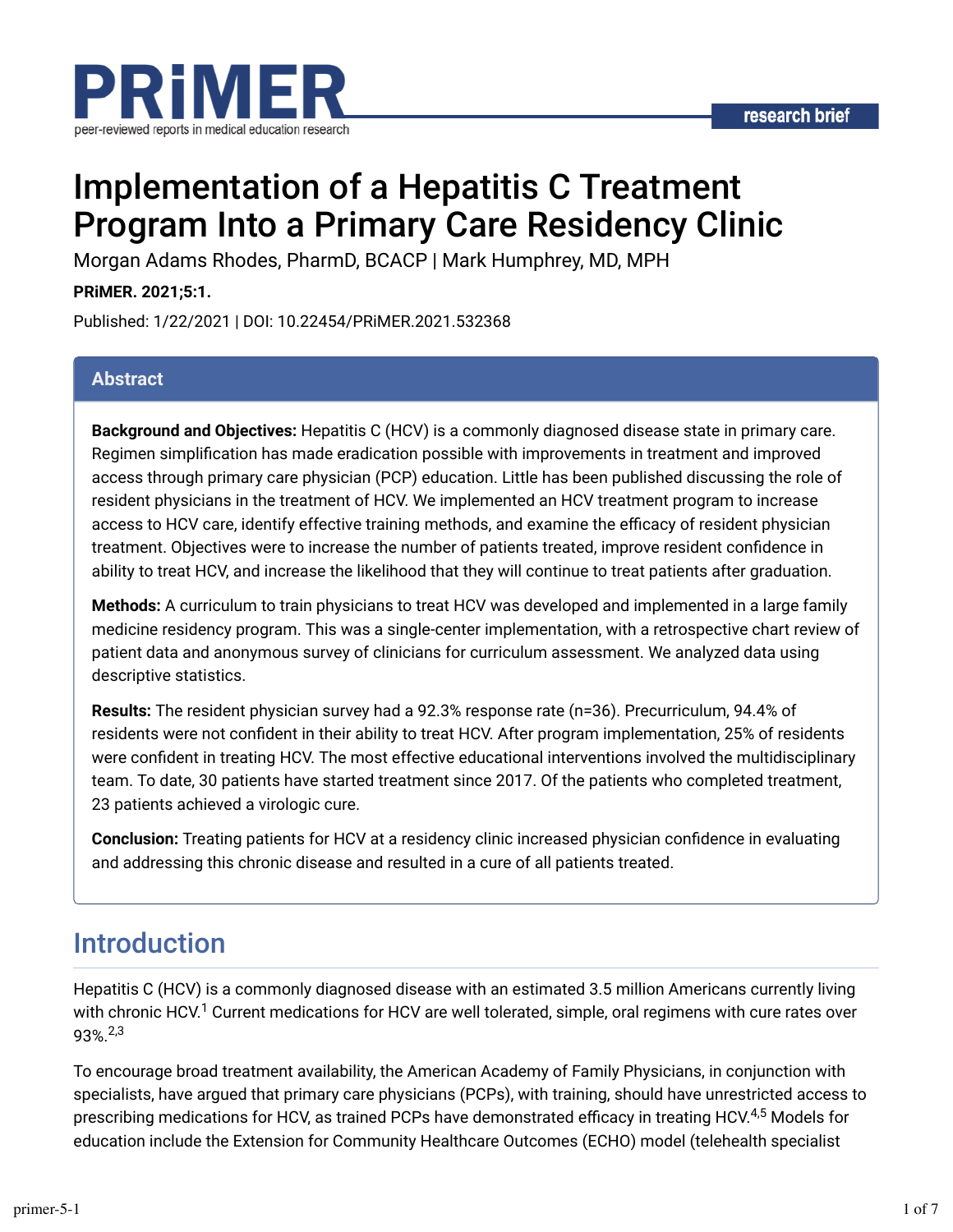

# Implementation of a Hepatitis C Treatment Program Into a Primary Care Residency Clinic

Morgan Adams Rhodes, PharmD, BCACP | Mark Humphrey, MD, MPH

**PRiMER. 2021;5:1.**

Published: 1/22/2021 | DOI: 10.22454/PRiMER.2021.532368

#### **Abstract**

**Background and Objectives:** Hepatitis C (HCV) is a commonly diagnosed disease state in primary care. Regimen simplification has made eradication possible with improvements in treatment and improved access through primary care physician (PCP) education. Little has been published discussing the role of resident physicians in the treatment of HCV. We implemented an HCV treatment program to increase access to HCV care, identify effective training methods, and examine the efficacy of resident physician treatment. Objectives were to increase the number of patients treated, improve resident confidence in ability to treat HCV, and increase the likelihood that they will continue to treat patients after graduation.

**Methods:** A curriculum to train physicians to treat HCV was developed and implemented in a large family medicine residency program. This was a single-center implementation, with a retrospective chart review of patient data and anonymous survey of clinicians for curriculum assessment. We analyzed data using descriptive statistics.

**Results:** The resident physician survey had a 92.3% response rate (n=36). Precurriculum, 94.4% of residents were not confident in their ability to treat HCV. After program implementation, 25% of residents were confident in treating HCV. The most effective educational interventions involved the multidisciplinary team. To date, 30 patients have started treatment since 2017. Of the patients who completed treatment, 23 patients achieved a virologic cure.

**Conclusion:** Treating patients for HCV at a residency clinic increased physician confidence in evaluating and addressing this chronic disease and resulted in a cure of all patients treated.

### Introduction

Hepatitis C (HCV) is a commonly diagnosed disease with an estimated 3.5 million Americans currently living with chronic HCV.<sup>1</sup> Current medications for HCV are well tolerated, simple, oral regimens with cure rates over 93%. 2,3

To encourage broad treatment availability, the American Academy of Family Physicians, in conjunction with specialists, have argued that primary care physicians (PCPs), with training, should have unrestricted access to prescribing medications for HCV, as trained PCPs have demonstrated efficacy in treating HCV.<sup>4,5</sup> Models for education include the Extension for Community Healthcare Outcomes (ECHO) model (telehealth specialist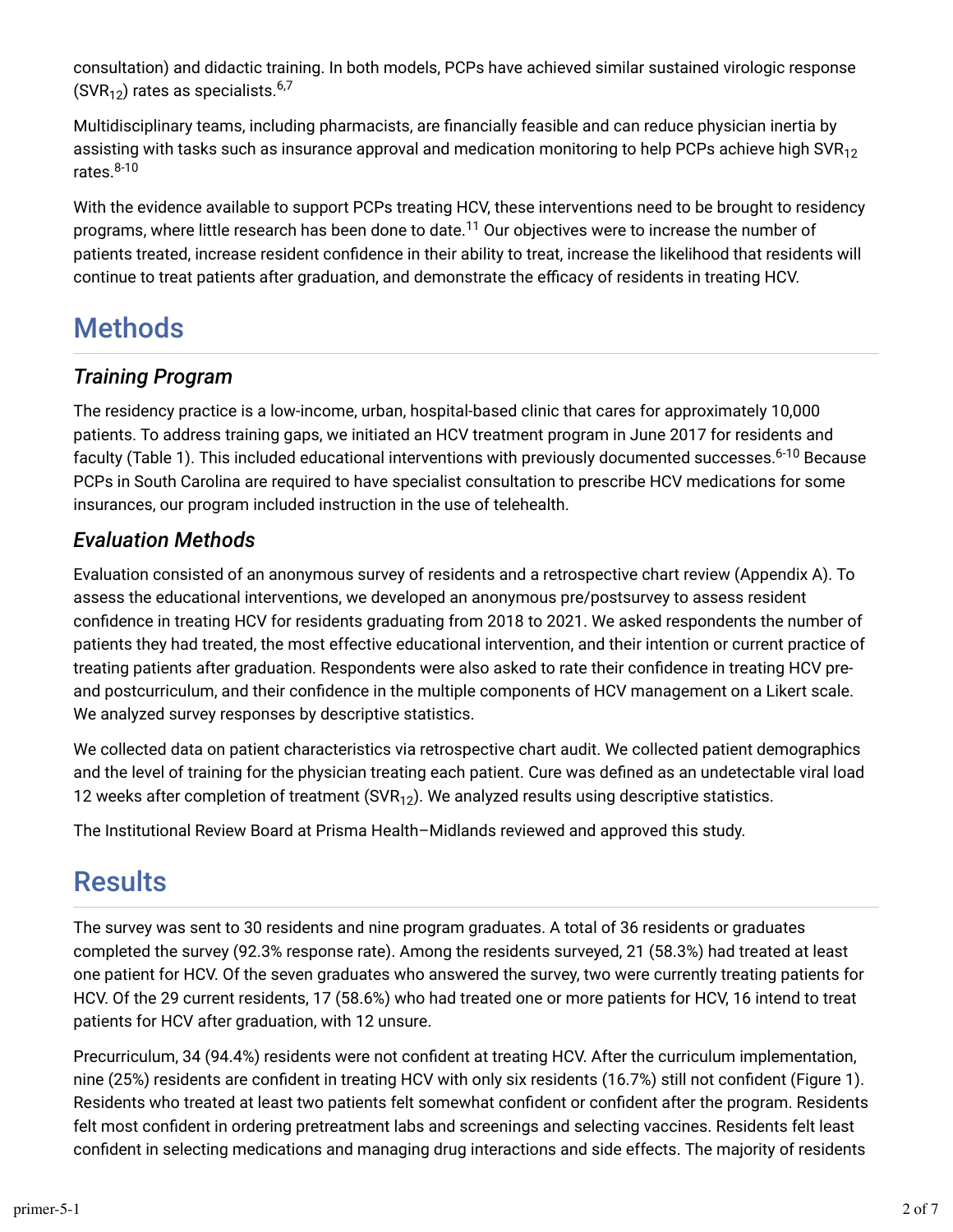consultation) and didactic training. In both models, PCPs have achieved similar sustained virologic response (SVR $_{12})$  rates as specialists. $^{6,7}$ 

Multidisciplinary teams, including pharmacists, are financially feasible and can reduce physician inertia by assisting with tasks such as insurance approval and medication monitoring to help PCPs achieve high SVR $_{\rm 12}$ rates. 8-10

With the evidence available to support PCPs treating HCV, these interventions need to be brought to residency programs, where little research has been done to date. $^{11}$  Our objectives were to increase the number of patients treated, increase resident confidence in their ability to treat, increase the likelihood that residents will continue to treat patients after graduation, and demonstrate the efficacy of residents in treating HCV.

## **Methods**

### *Training Program*

The residency practice is a low-income, urban, hospital-based clinic that cares for approximately 10,000 patients. To address training gaps, we initiated an HCV treatment program in June 2017 for residents and faculty (Table 1). This included educational interventions with previously documented successes.<sup>6-10</sup> Because PCPs in South Carolina are required to have specialist consultation to prescribe HCV medications for some insurances, our program included instruction in the use of telehealth.

#### *Evaluation Methods*

Evaluation consisted of an anonymous survey of residents and a retrospective chart review (Appendix A). To assess the educational interventions, we developed an anonymous pre/postsurvey to assess resident confidence in treating HCV for residents graduating from 2018 to 2021. We asked respondents the number of patients they had treated, the most effective educational intervention, and their intention or current practice of treating patients after graduation. Respondents were also asked to rate their confidence in treating HCV preand postcurriculum, and their confidence in the multiple components of HCV management on a Likert scale. We analyzed survey responses by descriptive statistics.

We collected data on patient characteristics via retrospective chart audit. We collected patient demographics and the level of training for the physician treating each patient. Cure was defined as an undetectable viral load 12 weeks after completion of treatment (SVR $_{\rm 12}$ ). We analyzed results using descriptive statistics.

The Institutional Review Board at Prisma Health–Midlands reviewed and approved this study.

### **Results**

The survey was sent to 30 residents and nine program graduates. A total of 36 residents or graduates completed the survey (92.3% response rate). Among the residents surveyed, 21 (58.3%) had treated at least one patient for HCV. Of the seven graduates who answered the survey, two were currently treating patients for HCV. Of the 29 current residents, 17 (58.6%) who had treated one or more patients for HCV, 16 intend to treat patients for HCV after graduation, with 12 unsure.

Precurriculum, 34 (94.4%) residents were not confident at treating HCV. After the curriculum implementation, nine (25%) residents are confident in treating HCV with only six residents (16.7%) still not confident (Figure 1). Residents who treated at least two patients felt somewhat confident or confident after the program. Residents felt most confident in ordering pretreatment labs and screenings and selecting vaccines. Residents felt least confident in selecting medications and managing drug interactions and side effects. The majority of residents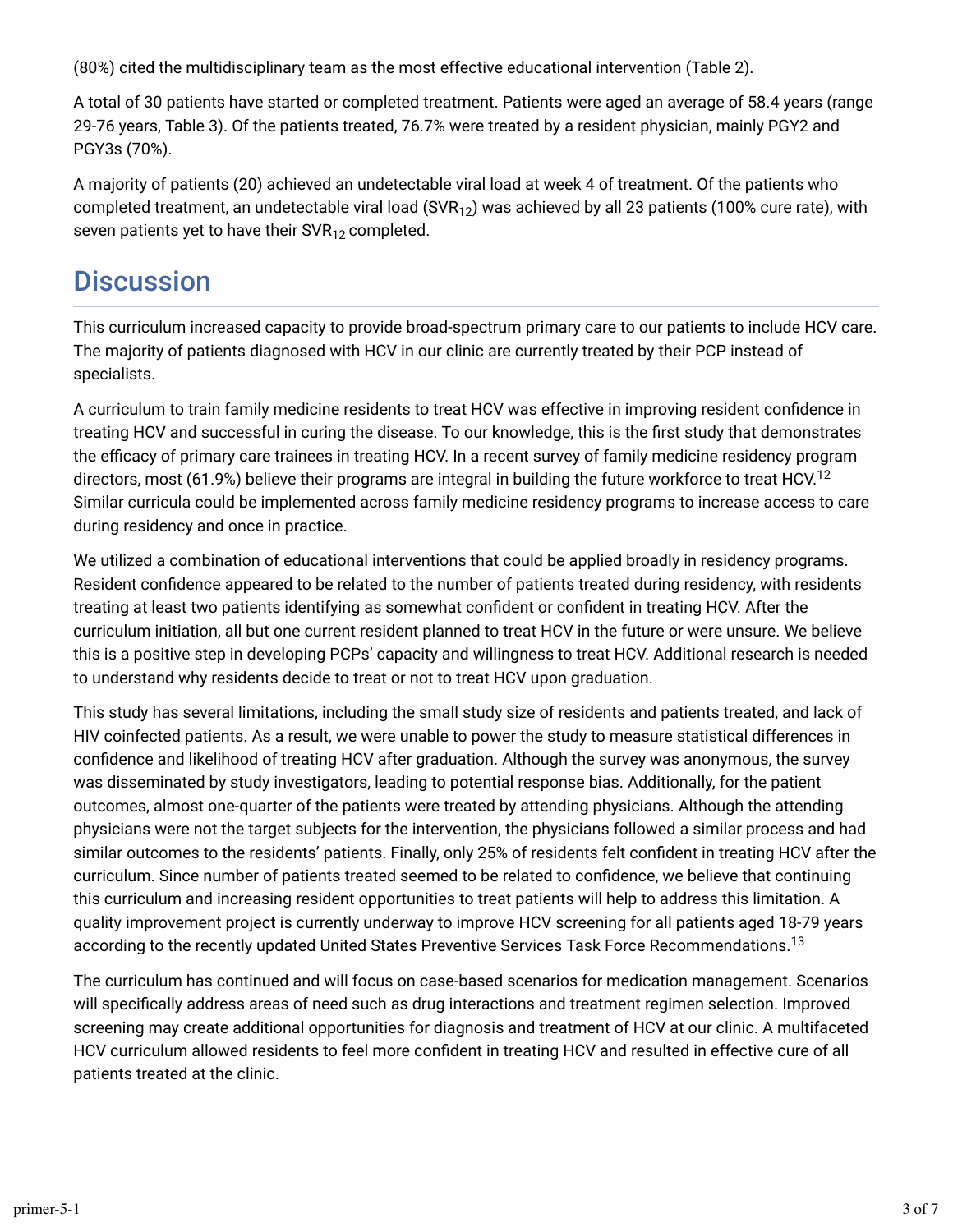(80%) cited the multidisciplinary team as the most effective educational intervention (Table 2).

A total of 30 patients have started or completed treatment. Patients were aged an average of 58.4 years (range 29-76 years, Table 3). Of the patients treated, 76.7% were treated by a resident physician, mainly PGY2 and PGY3s (70%).

A majority of patients (20) achieved an undetectable viral load at week 4 of treatment. Of the patients who completed treatment, an undetectable viral load (SVR<sub>12</sub>) was achieved by all 23 patients (100% cure rate), with seven patients yet to have their SVR $_{\rm 12}$  completed.

### **Discussion**

This curriculum increased capacity to provide broad-spectrum primary care to our patients to include HCV care. The majority of patients diagnosed with HCV in our clinic are currently treated by their PCP instead of specialists.

A curriculum to train family medicine residents to treat HCV was effective in improving resident confidence in treating HCV and successful in curing the disease. To our knowledge, this is the first study that demonstrates the efficacy of primary care trainees in treating HCV. In a recent survey of family medicine residency program directors, most (61.9%) believe their programs are integral in building the future workforce to treat HCV. $^{12}$ Similar curricula could be implemented across family medicine residency programs to increase access to care during residency and once in practice.

We utilized a combination of educational interventions that could be applied broadly in residency programs. Resident confidence appeared to be related to the number of patients treated during residency, with residents treating at least two patients identifying as somewhat confident or confident in treating HCV. After the curriculum initiation, all but one current resident planned to treat HCV in the future or were unsure. We believe this is a positive step in developing PCPs' capacity and willingness to treat HCV. Additional research is needed to understand why residents decide to treat or not to treat HCV upon graduation.

This study has several limitations, including the small study size of residents and patients treated, and lack of HIV coinfected patients. As a result, we were unable to power the study to measure statistical differences in confidence and likelihood of treating HCV after graduation. Although the survey was anonymous, the survey was disseminated by study investigators, leading to potential response bias. Additionally, for the patient outcomes, almost one-quarter of the patients were treated by attending physicians. Although the attending physicians were not the target subjects for the intervention, the physicians followed a similar process and had similar outcomes to the residents' patients. Finally, only 25% of residents felt confident in treating HCV after the curriculum. Since number of patients treated seemed to be related to confidence, we believe that continuing this curriculum and increasing resident opportunities to treat patients will help to address this limitation. A quality improvement project is currently underway to improve HCV screening for all patients aged 18-79 years according to the recently updated United States Preventive Services Task Force Recommendations. $^{\rm 13}$ 

The curriculum has continued and will focus on case-based scenarios for medication management. Scenarios will specifically address areas of need such as drug interactions and treatment regimen selection. Improved screening may create additional opportunities for diagnosis and treatment of HCV at our clinic. A multifaceted HCV curriculum allowed residents to feel more confident in treating HCV and resulted in effective cure of all patients treated at the clinic.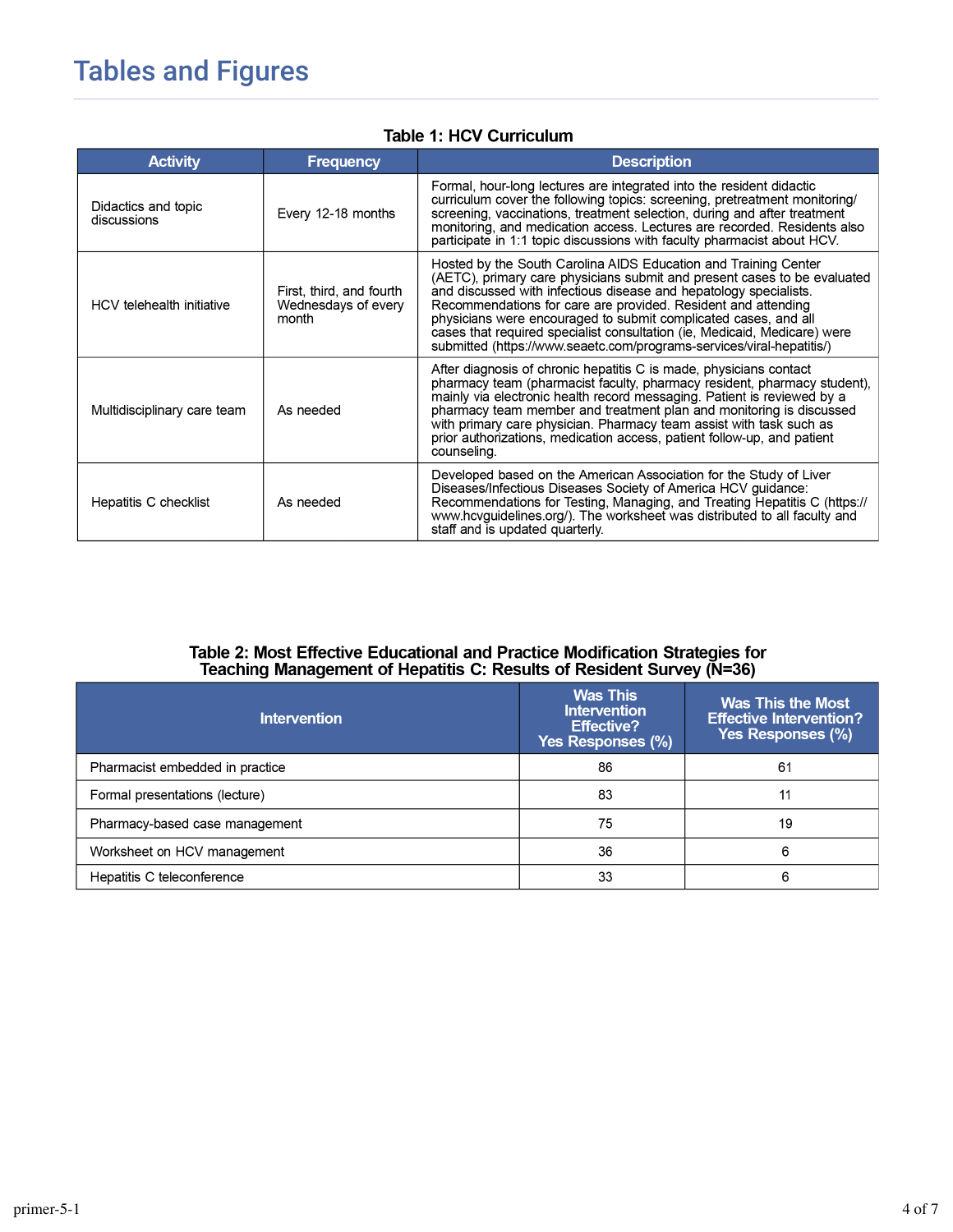## **Tables and Figures**

|  | <b>Table 1: HCV Curriculum</b> |
|--|--------------------------------|
|--|--------------------------------|

| <b>Activity</b>                    | <b>Frequency</b>                                         | <b>Description</b>                                                                                                                                                                                                                                                                                                                                                                                                                                                                                         |
|------------------------------------|----------------------------------------------------------|------------------------------------------------------------------------------------------------------------------------------------------------------------------------------------------------------------------------------------------------------------------------------------------------------------------------------------------------------------------------------------------------------------------------------------------------------------------------------------------------------------|
| Didactics and topic<br>discussions | Every 12-18 months                                       | Formal, hour-long lectures are integrated into the resident didactic<br>curriculum cover the following topics: screening, pretreatment monitoring/<br>screening, vaccinations, treatment selection, during and after treatment<br>monitoring, and medication access. Lectures are recorded. Residents also<br>participate in 1:1 topic discussions with faculty pharmacist about HCV.                                                                                                                      |
| HCV telehealth initiative          | First, third, and fourth<br>Wednesdays of every<br>month | Hosted by the South Carolina AIDS Education and Training Center<br>(AETC), primary care physicians submit and present cases to be evaluated<br>and discussed with infectious disease and hepatology specialists.<br>Recommendations for care are provided. Resident and attending<br>physicians were encouraged to submit complicated cases, and all<br>cases that required specialist consultation (ie, Medicaid, Medicare) were<br>submitted (https://www.seaetc.com/programs-services/viral-hepatitis/) |
| Multidisciplinary care team        | As needed                                                | After diagnosis of chronic hepatitis C is made, physicians contact<br>pharmacy team (pharmacist faculty, pharmacy resident, pharmacy student),<br>mainly via electronic health record messaging. Patient is reviewed by a<br>pharmacy team member and treatment plan and monitoring is discussed<br>with primary care physician. Pharmacy team assist with task such as<br>prior authorizations, medication access, patient follow-up, and patient<br>counseling.                                          |
| Hepatitis C checklist              | As needed                                                | Developed based on the American Association for the Study of Liver<br>Diseases/Infectious Diseases Society of America HCV guidance:<br>Recommendations for Testing, Managing, and Treating Hepatitis C (https://<br>www.hcvguidelines.org/). The worksheet was distributed to all faculty and<br>staff and is updated quarterly.                                                                                                                                                                           |

# Table 2: Most Effective Educational and Practice Modification Strategies for<br>Teaching Management of Hepatitis C: Results of Resident Survey (N=36)

| <b>Intervention</b>             | <b>Was This</b><br><b>Intervention</b><br><b>Effective?</b><br>Yes Responses (%) | Was This the Most<br><b>Effective Intervention?</b><br>Yes Responses (%) |
|---------------------------------|----------------------------------------------------------------------------------|--------------------------------------------------------------------------|
| Pharmacist embedded in practice | 86                                                                               | 61                                                                       |
| Formal presentations (lecture)  | 83                                                                               | 11                                                                       |
| Pharmacy-based case management  | 75                                                                               | 19                                                                       |
| Worksheet on HCV management     | 36                                                                               | 6                                                                        |
| Hepatitis C teleconference      | 33                                                                               | 6                                                                        |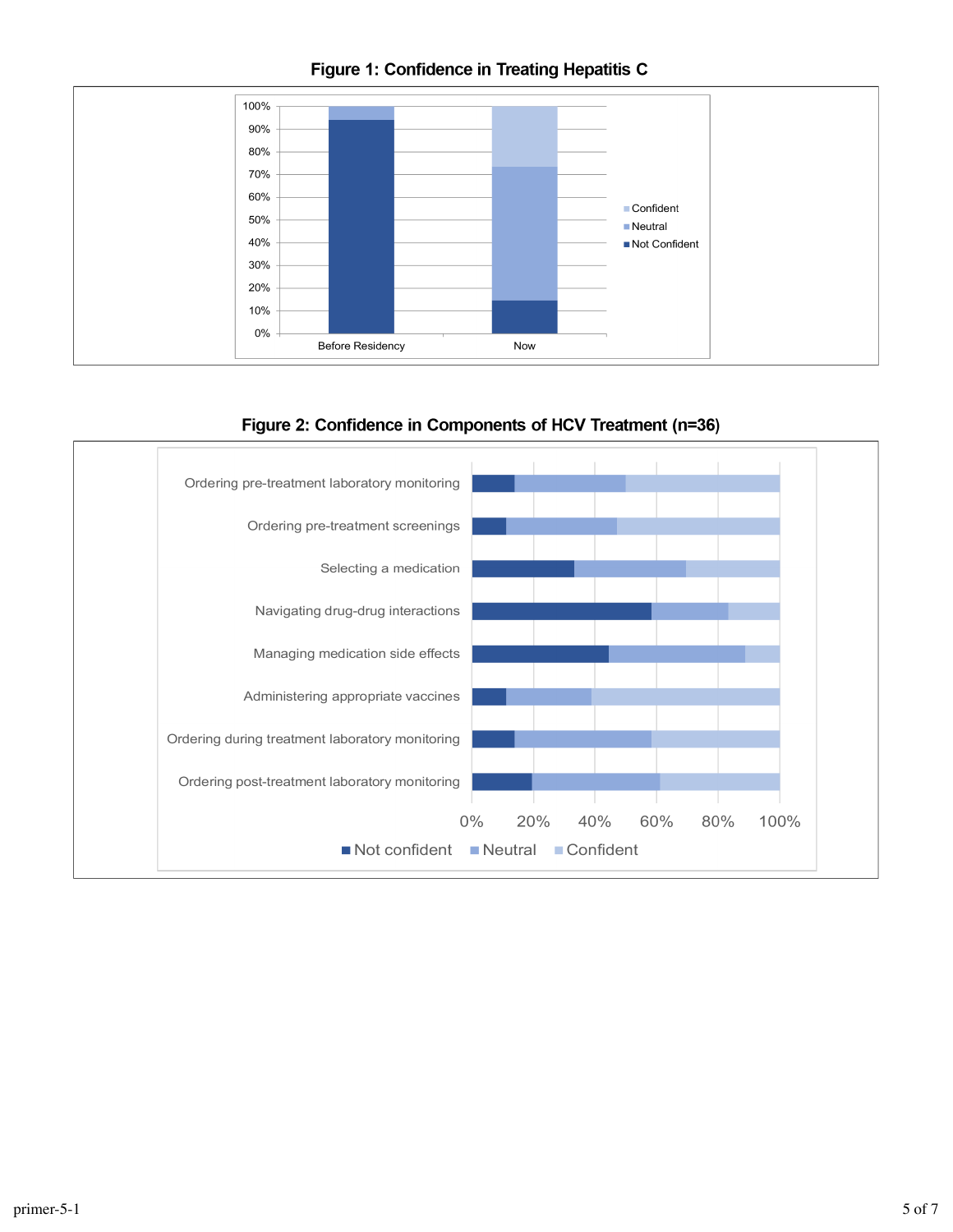

#### Figure 1: Confidence in Treating Hepatitis C

Figure 2: Confidence in Components of HCV Treatment (n=36)

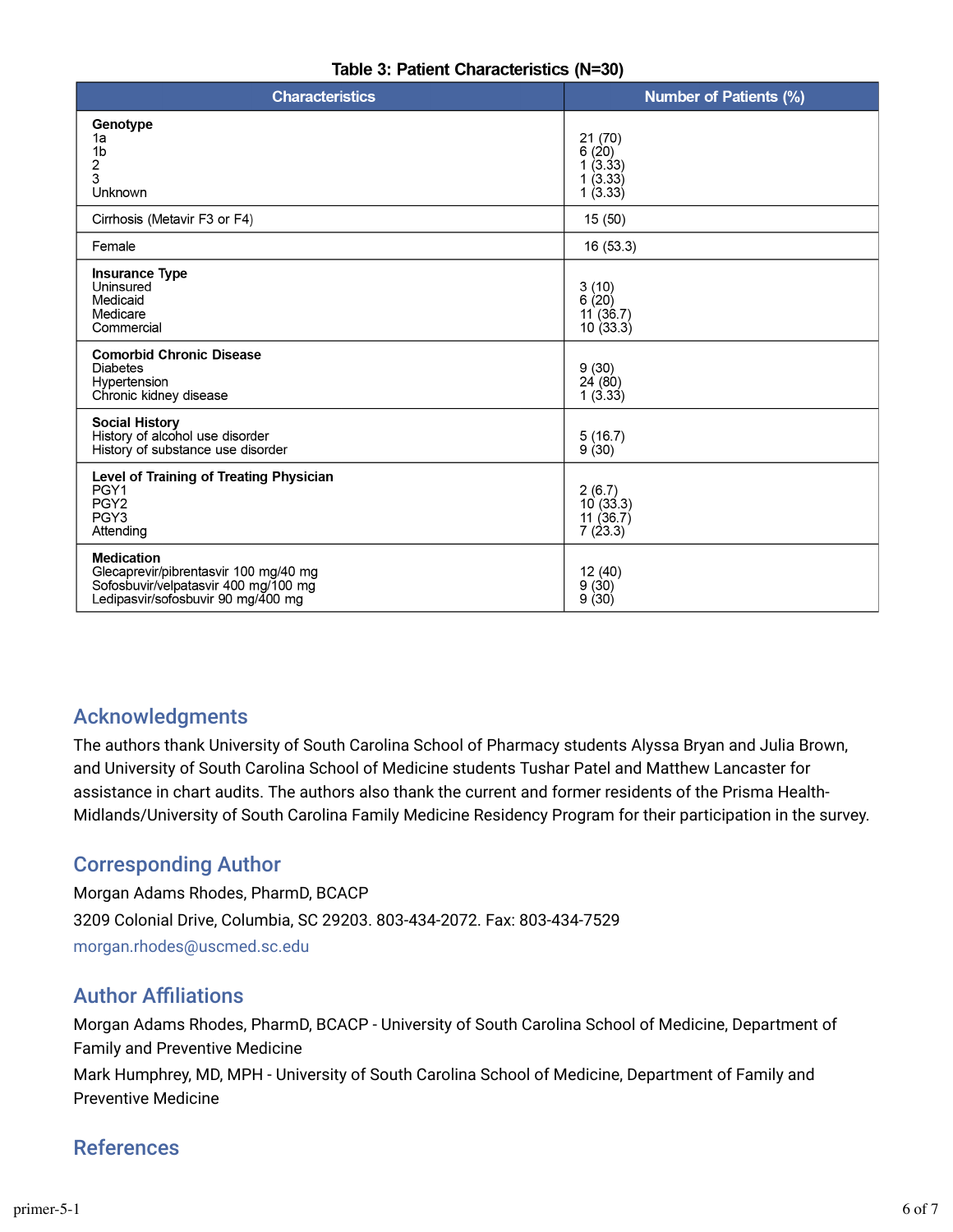| <b>Characteristics</b>                                                                                                                   | <b>Number of Patients (%)</b>                    |  |
|------------------------------------------------------------------------------------------------------------------------------------------|--------------------------------------------------|--|
| Genotype<br>1a<br>1 <sub>b</sub><br>2<br>3<br>Unknown                                                                                    | 21(70)<br>6(20)<br>1(3.33)<br>1(3.33)<br>1(3.33) |  |
| Cirrhosis (Metavir F3 or F4)                                                                                                             | 15(50)                                           |  |
| Female                                                                                                                                   | 16 (53.3)                                        |  |
| <b>Insurance Type</b><br>Uninsured<br>Medicaid<br>Medicare<br>Commercial                                                                 | 3(10)<br>6(20)<br>11(36.7)<br>10(33.3)           |  |
| <b>Comorbid Chronic Disease</b><br><b>Diabetes</b><br>Hypertension<br>Chronic kidney disease                                             | 9(30)<br>24(80)<br>1(3.33)                       |  |
| <b>Social History</b><br>History of alcohol use disorder<br>History of substance use disorder                                            | 5(16.7)<br>9(30)                                 |  |
| <b>Level of Training of Treating Physician</b><br>PGY1<br>PGY <sub>2</sub><br>PGY3<br>Attending                                          | 2(6.7)<br>10(33.3)<br>11(36.7)<br>7(23.3)        |  |
| <b>Medication</b><br>Glecaprevir/pibrentasvir 100 mg/40 mg<br>Sofosbuvir/velpatasvir 400 mg/100 mg<br>Ledipasvir/sofosbuvir 90 mg/400 mg | 12 (40)<br>9(30)<br>9(30)                        |  |

### Acknowledgments

The authors thank University of South Carolina School of Pharmacy students Alyssa Bryan and Julia Brown, and University of South Carolina School of Medicine students Tushar Patel and Matthew Lancaster for assistance in chart audits. The authors also thank the current and former residents of the Prisma Health-Midlands/University of South Carolina Family Medicine Residency Program for their participation in the survey.

### Corresponding Author

Morgan Adams Rhodes, PharmD, BCACP 3209 Colonial Drive, Columbia, SC 29203. 803-434-2072. Fax: 803-434-7529 morgan.rhodes@uscmed.sc.edu

#### **Author Affiliations**

Morgan Adams Rhodes, PharmD, BCACP - University of South Carolina School of Medicine, Department of Family and Preventive Medicine

Mark Humphrey, MD, MPH - University of South Carolina School of Medicine, Department of Family and Preventive Medicine

### References